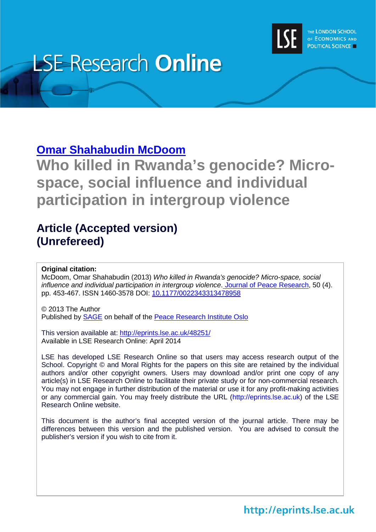

# **LSE Research Online**

# **[Omar Shahabudin McDoom](http://www2.lse.ac.uk/researchAndExpertise/Experts/profile.aspx?KeyValue=o.s.mcdoom@lse.ac.uk)**

**Who killed in Rwanda's genocide? Microspace, social influence and individual participation in intergroup violence**

# **Article (Accepted version) (Unrefereed)**

### **Original citation:**

McDoom, Omar Shahabudin (2013) *Who killed in Rwanda's genocide? Micro-space, social influence and individual participation in intergroup violence*. [Journal of Peace Research,](http://jpr.sagepub.com/) 50 (4). pp. 453-467. ISSN 1460-3578 DOI: [10.1177/0022343313478958](http://dx.doi.org/10.1177/0022343313478958)

© 2013 The Author Published by [SAGE](http://www.sagepublications.com/) on behalf of the [Peace Research Institute Oslo](http://www.prio.no/)

This version available at:<http://eprints.lse.ac.uk/48251/> Available in LSE Research Online: April 2014

LSE has developed LSE Research Online so that users may access research output of the School. Copyright © and Moral Rights for the papers on this site are retained by the individual authors and/or other copyright owners. Users may download and/or print one copy of any article(s) in LSE Research Online to facilitate their private study or for non-commercial research. You may not engage in further distribution of the material or use it for any profit-making activities or any commercial gain. You may freely distribute the URL (http://eprints.lse.ac.uk) of the LSE Research Online website.

This document is the author's final accepted version of the journal article. There may be differences between this version and the published version. You are advised to consult the publisher's version if you wish to cite from it.

http://eprints.lse.ac.uk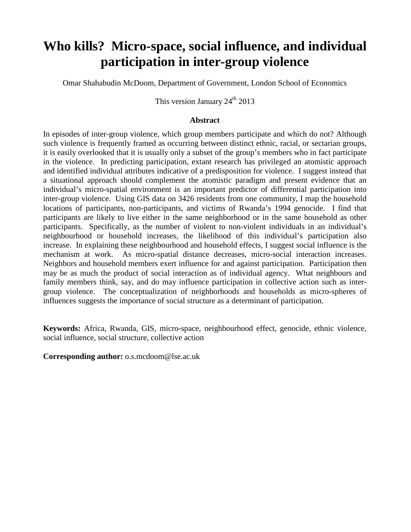# **Who kills? Micro-space, social influence, and individual participation in inter-group violence**

Omar Shahabudin McDoom, Department of Government, London School of Economics

This version January  $24^{\text{th}}$  2013

#### **Abstract**

In episodes of inter-group violence, which group members participate and which do not? Although such violence is frequently framed as occurring between distinct ethnic, racial, or sectarian groups, it is easily overlooked that it is usually only a subset of the group's members who in fact participate in the violence. In predicting participation, extant research has privileged an atomistic approach and identified individual attributes indicative of a predisposition for violence. I suggest instead that a situational approach should complement the atomistic paradigm and present evidence that an individual's micro-spatial environment is an important predictor of differential participation into inter-group violence. Using GIS data on 3426 residents from one community, I map the household locations of participants, non-participants, and victims of Rwanda's 1994 genocide. I find that participants are likely to live either in the same neighborhood or in the same household as other participants. Specifically, as the number of violent to non-violent individuals in an individual's neighbourhood or household increases, the likelihood of this individual's participation also increase. In explaining these neighbourhood and household effects, I suggest social influence is the mechanism at work. As micro-spatial distance decreases, micro-social interaction increases. Neighbors and household members exert influence for and against participation. Participation then may be as much the product of social interaction as of individual agency. What neighbours and family members think, say, and do may influence participation in collective action such as intergroup violence. The conceptualization of neighborhoods and households as micro-spheres of influences suggests the importance of social structure as a determinant of participation.

**Keywords:** Africa, Rwanda, GIS, micro-space, neighbourhood effect, genocide, ethnic violence, social influence, social structure, collective action

<span id="page-1-0"></span>**Corresponding author:** o.s.mcdoom@lse.ac.uk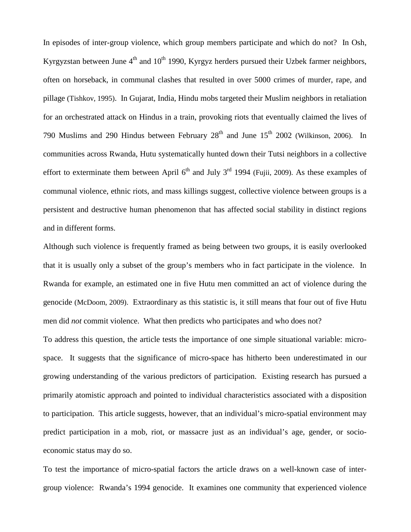In episodes of inter-group violence, which group members participate and which do not? In Osh, Kyrgyzstan between June  $4<sup>th</sup>$  and  $10<sup>th</sup>$  1990, Kyrgyz herders pursued their Uzbek farmer neighbors, often on horseback, in communal clashes that resulted in over 5000 crimes of murder, rape, and pillage (Tishkov, 1995). In Gujarat, India, Hindu mobs targeted their Muslim neighbors in retaliation for an orchestrated attack on Hindus in a train, provoking riots that eventually claimed the lives of 790 Muslims and 290 Hindus between February  $28<sup>th</sup>$  and June  $15<sup>th</sup>$  2002 (Wilkinson, 2006). In communities across Rwanda, Hutu systematically hunted down their Tutsi neighbors in a collective effort to exterminate them between April  $6<sup>th</sup>$  and July 3<sup>rd</sup> 1994 (Fujii, 2009). As these examples of communal violence, ethnic riots, and mass killings suggest, collective violence between groups is a persistent and destructive human phenomenon that has affected social stability in distinct regions and in different forms.

Although such violence is frequently framed as being between two groups, it is easily overlooked that it is usually only a subset of the group's members who in fact participate in the violence. In Rwanda for example, an estimated one in five Hutu men committed an act of violence during the genocide (McDoom, 2009). Extraordinary as this statistic is, it still means that four out of five Hutu men did *not* commit violence. What then predicts who participates and who does not?

To address this question, the article tests the importance of one simple situational variable: microspace. It suggests that the significance of micro-space has hitherto been underestimated in our growing understanding of the various predictors of participation. Existing research has pursued a primarily atomistic approach and pointed to individual characteristics associated with a disposition to participation. This article suggests, however, that an individual's micro-spatial environment may predict participation in a mob, riot, or massacre just as an individual's age, gender, or socioeconomic status may do so.

To test the importance of micro-spatial factors the article draws on a well-known case of intergroup violence: Rwanda's 1994 genocide. It examines one community that experienced violence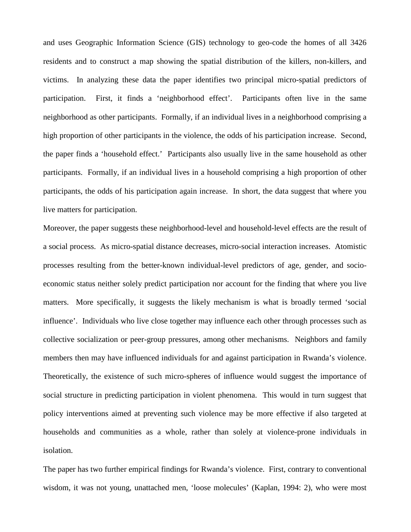and uses Geographic Information Science (GIS) technology to geo-code the homes of all 3426 residents and to construct a map showing the spatial distribution of the killers, non-killers, and victims. In analyzing these data the paper identifies two principal micro-spatial predictors of participation. First, it finds a 'neighborhood effect'. Participants often live in the same neighborhood as other participants. Formally, if an individual lives in a neighborhood comprising a high proportion of other participants in the violence, the odds of his participation increase. Second, the paper finds a 'household effect.' Participants also usually live in the same household as other participants. Formally, if an individual lives in a household comprising a high proportion of other participants, the odds of his participation again increase. In short, the data suggest that where you live matters for participation.

Moreover, the paper suggests these neighborhood-level and household-level effects are the result of a social process. As micro-spatial distance decreases, micro-social interaction increases. Atomistic processes resulting from the better-known individual-level predictors of age, gender, and socioeconomic status neither solely predict participation nor account for the finding that where you live matters. More specifically, it suggests the likely mechanism is what is broadly termed 'social influence'. Individuals who live close together may influence each other through processes such as collective socialization or peer-group pressures, among other mechanisms. Neighbors and family members then may have influenced individuals for and against participation in Rwanda's violence. Theoretically, the existence of such micro-spheres of influence would suggest the importance of social structure in predicting participation in violent phenomena. This would in turn suggest that policy interventions aimed at preventing such violence may be more effective if also targeted at households and communities as a whole, rather than solely at violence-prone individuals in isolation.

The paper has two further empirical findings for Rwanda's violence. First, contrary to conventional wisdom, it was not young, unattached men, 'loose molecules' (Kaplan, 1994: 2), who were most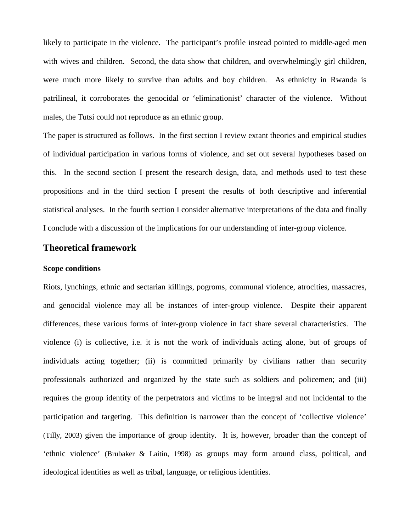likely to participate in the violence. The participant's profile instead pointed to middle-aged men with wives and children. Second, the data show that children, and overwhelmingly girl children, were much more likely to survive than adults and boy children. As ethnicity in Rwanda is patrilineal, it corroborates the genocidal or 'eliminationist' character of the violence. Without males, the Tutsi could not reproduce as an ethnic group.

The paper is structured as follows. In the first section I review extant theories and empirical studies of individual participation in various forms of violence, and set out several hypotheses based on this. In the second section I present the research design, data, and methods used to test these propositions and in the third section I present the results of both descriptive and inferential statistical analyses. In the fourth section I consider alternative interpretations of the data and finally I conclude with a discussion of the implications for our understanding of inter-group violence.

#### **Theoretical framework**

#### **Scope conditions**

Riots, lynchings, ethnic and sectarian killings, pogroms, communal violence, atrocities, massacres, and genocidal violence may all be instances of inter-group violence. Despite their apparent differences, these various forms of inter-group violence in fact share several characteristics. The violence (i) is collective, i.e. it is not the work of individuals acting alone, but of groups of individuals acting together; (ii) is committed primarily by civilians rather than security professionals authorized and organized by the state such as soldiers and policemen; and (iii) requires the group identity of the perpetrators and victims to be integral and not incidental to the participation and targeting. This definition is narrower than the concept of 'collective violence' (Tilly, 2003) given the importance of group identity. It is, however, broader than the concept of 'ethnic violence' (Brubaker & Laitin, 1998) as groups may form around class, political, and ideological identities as well as tribal, language, or religious identities.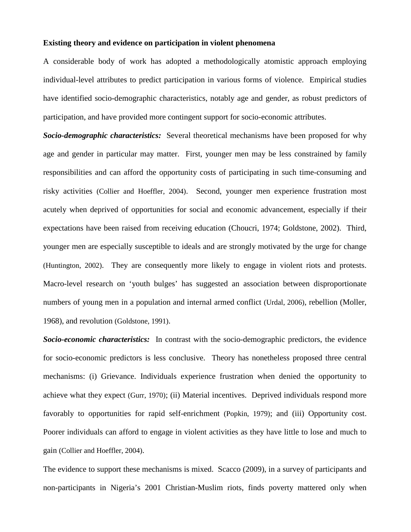#### **Existing theory and evidence on participation in violent phenomena**

A considerable body of work has adopted a methodologically atomistic approach employing individual-level attributes to predict participation in various forms of violence. Empirical studies have identified socio-demographic characteristics, notably age and gender, as robust predictors of participation, and have provided more contingent support for socio-economic attributes.

*Socio-demographic characteristics:* Several theoretical mechanisms have been proposed for why age and gender in particular may matter. First, younger men may be less constrained by family responsibilities and can afford the opportunity costs of participating in such time-consuming and risky activities (Collier and Hoeffler, 2004). Second, younger men experience frustration most acutely when deprived of opportunities for social and economic advancement, especially if their expectations have been raised from receiving education (Choucri, 1974; Goldstone, 2002). Third, younger men are especially susceptible to ideals and are strongly motivated by the urge for change (Huntington, 2002). They are consequently more likely to engage in violent riots and protests. Macro-level research on 'youth bulges' has suggested an association between disproportionate numbers of young men in a population and internal armed conflict (Urdal, 2006), rebellion (Moller, 1968), and revolution (Goldstone, 1991).

*Socio-economic characteristics:* In contrast with the socio-demographic predictors, the evidence for socio-economic predictors is less conclusive. Theory has nonetheless proposed three central mechanisms: (i) Grievance. Individuals experience frustration when denied the opportunity to achieve what they expect (Gurr, 1970); (ii) Material incentives. Deprived individuals respond more favorably to opportunities for rapid self-enrichment (Popkin, 1979); and (iii) Opportunity cost. Poorer individuals can afford to engage in violent activities as they have little to lose and much to gain (Collier and Hoeffler, 2004).

The evidence to support these mechanisms is mixed. Scacco (2009), in a survey of participants and non-participants in Nigeria's 2001 Christian-Muslim riots, finds poverty mattered only when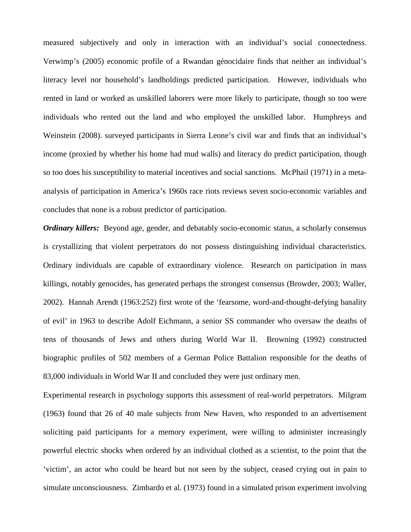measured subjectively and only in interaction with an individual's social connectedness. Verwimp's (2005) economic profile of a Rwandan génocidaire finds that neither an individual's literacy level nor household's landholdings predicted participation. However, individuals who rented in land or worked as unskilled laborers were more likely to participate, though so too were individuals who rented out the land and who employed the unskilled labor. Humphreys and Weinstein (2008). surveyed participants in Sierra Leone's civil war and finds that an individual's income (proxied by whether his home had mud walls) and literacy do predict participation, though so too does his susceptibility to material incentives and social sanctions. McPhail (1971) in a metaanalysis of participation in America's 1960s race riots reviews seven socio-economic variables and concludes that none is a robust predictor of participation.

*Ordinary killers:* Beyond age, gender, and debatably socio-economic status, a scholarly consensus is crystallizing that violent perpetrators do not possess distinguishing individual characteristics. Ordinary individuals are capable of extraordinary violence. Research on participation in mass killings, notably genocides, has generated perhaps the strongest consensus (Browder, 2003; Waller, 2002). Hannah Arendt (1963:252) first wrote of the 'fearsome, word-and-thought-defying banality of evil' in 1963 to describe Adolf Eichmann, a senior SS commander who oversaw the deaths of tens of thousands of Jews and others during World War II. Browning (1992) constructed biographic profiles of 502 members of a German Police Battalion responsible for the deaths of 83,000 individuals in World War II and concluded they were just ordinary men.

Experimental research in psychology supports this assessment of real-world perpetrators. Milgram (1963) found that 26 of 40 male subjects from New Haven, who responded to an advertisement soliciting paid participants for a memory experiment, were willing to administer increasingly powerful electric shocks when ordered by an individual clothed as a scientist, to the point that the 'victim', an actor who could be heard but not seen by the subject, ceased crying out in pain to simulate unconsciousness. Zimbardo et al. (1973) found in a simulated prison experiment involving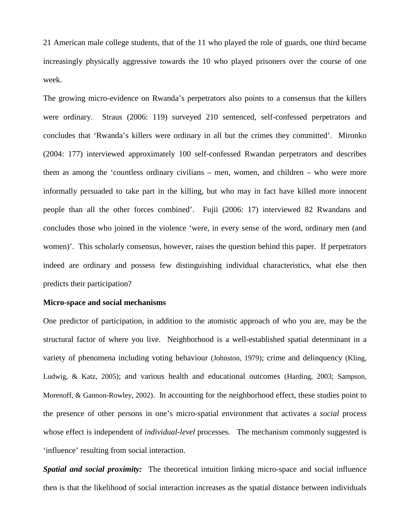21 American male college students, that of the 11 who played the role of guards, one third became increasingly physically aggressive towards the 10 who played prisoners over the course of one week.

The growing micro-evidence on Rwanda's perpetrators also points to a consensus that the killers were ordinary. Straus (2006: 119) surveyed 210 sentenced, self-confessed perpetrators and concludes that 'Rwanda's killers were ordinary in all but the crimes they committed'. Mironko (2004: 177) interviewed approximately 100 self-confessed Rwandan perpetrators and describes them as among the 'countless ordinary civilians – men, women, and children – who were more informally persuaded to take part in the killing, but who may in fact have killed more innocent people than all the other forces combined'. Fujii (2006: 17) interviewed 82 Rwandans and concludes those who joined in the violence 'were, in every sense of the word, ordinary men (and women)'. This scholarly consensus, however, raises the question behind this paper. If perpetrators indeed are ordinary and possess few distinguishing individual characteristics, what else then predicts their participation?

#### **Micro-space and social mechanisms**

One predictor of participation, in addition to the atomistic approach of who you are, may be the structural factor of where you live. Neighborhood is a well-established spatial determinant in a variety of phenomena including voting behaviour (Johnston, 1979); crime and delinquency (Kling, Ludwig, & Katz, 2005); and various health and educational outcomes (Harding, 2003; Sampson, Morenoff, & Gannon-Rowley, 2002). In accounting for the neighborhood effect, these studies point to the presence of other persons in one's micro-spatial environment that activates a *social* process whose effect is independent of *individual-level* processes. The mechanism commonly suggested is 'influence' resulting from social interaction.

*Spatial and social proximity:* The theoretical intuition linking micro-space and social influence then is that the likelihood of social interaction increases as the spatial distance between individuals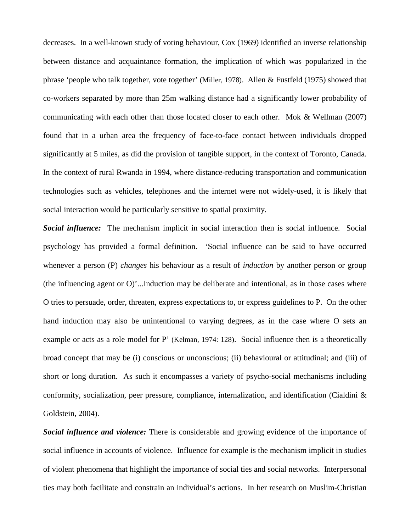decreases. In a well-known study of voting behaviour, Cox (1969) identified an inverse relationship between distance and acquaintance formation, the implication of which was popularized in the phrase 'people who talk together, vote together' (Miller, 1978). Allen & Fustfeld (1975) showed that co-workers separated by more than 25m walking distance had a significantly lower probability of communicating with each other than those located closer to each other. Mok & Wellman (2007) found that in a urban area the frequency of face-to-face contact between individuals dropped significantly at 5 miles, as did the provision of tangible support, in the context of Toronto, Canada. In the context of rural Rwanda in 1994, where distance-reducing transportation and communication technologies such as vehicles, telephones and the internet were not widely-used, it is likely that social interaction would be particularly sensitive to spatial proximity.

*Social influence:* The mechanism implicit in social interaction then is social influence. Social psychology has provided a formal definition. 'Social influence can be said to have occurred whenever a person (P) *changes* his behaviour as a result of *induction* by another person or group (the influencing agent or O)'...Induction may be deliberate and intentional, as in those cases where O tries to persuade, order, threaten, express expectations to, or express guidelines to P. On the other hand induction may also be unintentional to varying degrees, as in the case where O sets an example or acts as a role model for P' (Kelman, 1974: 128). Social influence then is a theoretically broad concept that may be (i) conscious or unconscious; (ii) behavioural or attitudinal; and (iii) of short or long duration. As such it encompasses a variety of psycho-social mechanisms including conformity, socialization, peer pressure, compliance, internalization, and identification (Cialdini & Goldstein, 2004).

*Social influence and violence:* There is considerable and growing evidence of the importance of social influence in accounts of violence. Influence for example is the mechanism implicit in studies of violent phenomena that highlight the importance of social ties and social networks. Interpersonal ties may both facilitate and constrain an individual's actions. In her research on Muslim-Christian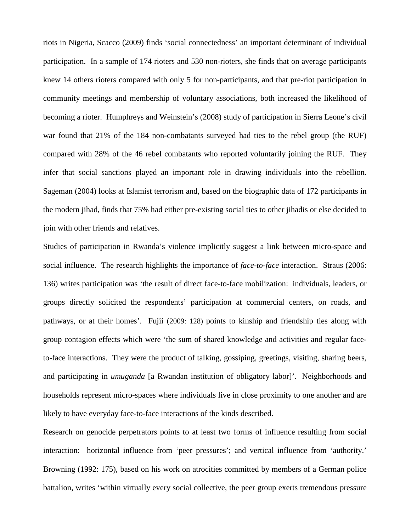riots in Nigeria, Scacco (2009) finds 'social connectedness' an important determinant of individual participation. In a sample of 174 rioters and 530 non-rioters, she finds that on average participants knew 14 others rioters compared with only 5 for non-participants, and that pre-riot participation in community meetings and membership of voluntary associations, both increased the likelihood of becoming a rioter. Humphreys and Weinstein's (2008) study of participation in Sierra Leone's civil war found that 21% of the 184 non-combatants surveyed had ties to the rebel group (the RUF) compared with 28% of the 46 rebel combatants who reported voluntarily joining the RUF. They infer that social sanctions played an important role in drawing individuals into the rebellion. Sageman (2004) looks at Islamist terrorism and, based on the biographic data of 172 participants in the modern jihad, finds that 75% had either pre-existing social ties to other jihadis or else decided to join with other friends and relatives.

Studies of participation in Rwanda's violence implicitly suggest a link between micro-space and social influence. The research highlights the importance of *face-to-face* interaction. Straus (2006: 136) writes participation was 'the result of direct face-to-face mobilization: individuals, leaders, or groups directly solicited the respondents' participation at commercial centers, on roads, and pathways, or at their homes'. Fujii (2009: 128) points to kinship and friendship ties along with group contagion effects which were 'the sum of shared knowledge and activities and regular faceto-face interactions. They were the product of talking, gossiping, greetings, visiting, sharing beers, and participating in *umuganda* [a Rwandan institution of obligatory labor]'. Neighborhoods and households represent micro-spaces where individuals live in close proximity to one another and are likely to have everyday face-to-face interactions of the kinds described.

Research on genocide perpetrators points to at least two forms of influence resulting from social interaction: horizontal influence from 'peer pressures'; and vertical influence from 'authority.' Browning (1992: 175), based on his work on atrocities committed by members of a German police battalion, writes 'within virtually every social collective, the peer group exerts tremendous pressure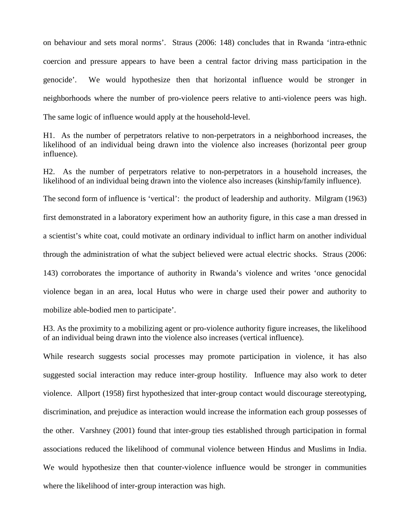on behaviour and sets moral norms'. Straus (2006: 148) concludes that in Rwanda 'intra-ethnic coercion and pressure appears to have been a central factor driving mass participation in the genocide'. We would hypothesize then that horizontal influence would be stronger in neighborhoods where the number of pro-violence peers relative to anti-violence peers was high. The same logic of influence would apply at the household-level.

H1. As the number of perpetrators relative to non-perpetrators in a neighborhood increases, the likelihood of an individual being drawn into the violence also increases (horizontal peer group influence).

H2. As the number of perpetrators relative to non-perpetrators in a household increases, the likelihood of an individual being drawn into the violence also increases (kinship/family influence). The second form of influence is 'vertical': the product of leadership and authority. Milgram (1963) first demonstrated in a laboratory experiment how an authority figure, in this case a man dressed in a scientist's white coat, could motivate an ordinary individual to inflict harm on another individual through the administration of what the subject believed were actual electric shocks. Straus (2006: 143) corroborates the importance of authority in Rwanda's violence and writes 'once genocidal violence began in an area, local Hutus who were in charge used their power and authority to mobilize able-bodied men to participate'.

H3. As the proximity to a mobilizing agent or pro-violence authority figure increases, the likelihood of an individual being drawn into the violence also increases (vertical influence).

While research suggests social processes may promote participation in violence, it has also suggested social interaction may reduce inter-group hostility. Influence may also work to deter violence. Allport (1958) first hypothesized that inter-group contact would discourage stereotyping, discrimination, and prejudice as interaction would increase the information each group possesses of the other. Varshney (2001) found that inter-group ties established through participation in formal associations reduced the likelihood of communal violence between Hindus and Muslims in India. We would hypothesize then that counter-violence influence would be stronger in communities where the likelihood of inter-group interaction was high.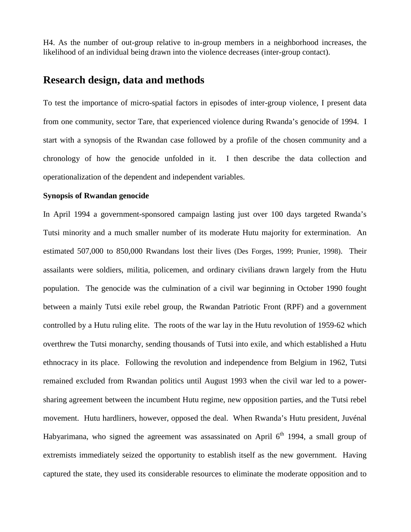H4. As the number of out-group relative to in-group members in a neighborhood increases, the likelihood of an individual being drawn into the violence decreases (inter-group contact).

# **Research design, data and methods**

To test the importance of micro-spatial factors in episodes of inter-group violence, I present data from one community, sector Tare, that experienced violence during Rwanda's genocide of 1994. I start with a synopsis of the Rwandan case followed by a profile of the chosen community and a chronology of how the genocide unfolded in it. I then describe the data collection and operationalization of the dependent and independent variables.

#### **Synopsis of Rwandan genocide**

In April 1994 a government-sponsored campaign lasting just over 100 days targeted Rwanda's Tutsi minority and a much smaller number of its moderate Hutu majority for extermination. An estimated 507,000 to 850,000 Rwandans lost their lives (Des Forges, 1999; Prunier, 1998). Their assailants were soldiers, militia, policemen, and ordinary civilians drawn largely from the Hutu population. The genocide was the culmination of a civil war beginning in October 1990 fought between a mainly Tutsi exile rebel group, the Rwandan Patriotic Front (RPF) and a government controlled by a Hutu ruling elite. The roots of the war lay in the Hutu revolution of 1959-62 which overthrew the Tutsi monarchy, sending thousands of Tutsi into exile, and which established a Hutu ethnocracy in its place. Following the revolution and independence from Belgium in 1962, Tutsi remained excluded from Rwandan politics until August 1993 when the civil war led to a powersharing agreement between the incumbent Hutu regime, new opposition parties, and the Tutsi rebel movement. Hutu hardliners, however, opposed the deal. When Rwanda's Hutu president, Juvénal Habyarimana, who signed the agreement was assassinated on April  $6<sup>th</sup>$  1994, a small group of extremists immediately seized the opportunity to establish itself as the new government. Having captured the state, they used its considerable resources to eliminate the moderate opposition and to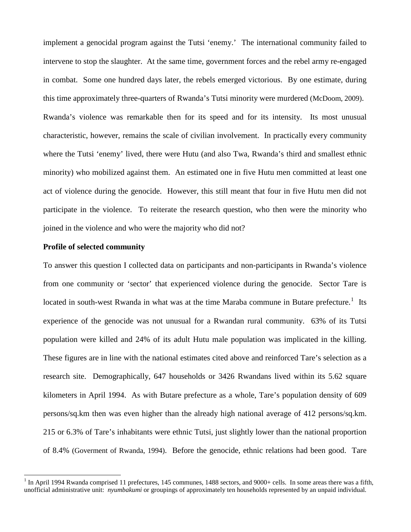implement a genocidal program against the Tutsi 'enemy.' The international community failed to intervene to stop the slaughter. At the same time, government forces and the rebel army re-engaged in combat. Some one hundred days later, the rebels emerged victorious. By one estimate, during this time approximately three-quarters of Rwanda's Tutsi minority were murdered (McDoom, 2009). Rwanda's violence was remarkable then for its speed and for its intensity. Its most unusual characteristic, however, remains the scale of civilian involvement. In practically every community where the Tutsi 'enemy' lived, there were Hutu (and also Twa, Rwanda's third and smallest ethnic minority) who mobilized against them. An estimated one in five Hutu men committed at least one act of violence during the genocide. However, this still meant that four in five Hutu men did not participate in the violence. To reiterate the research question, who then were the minority who joined in the violence and who were the majority who did not?

#### **Profile of selected community**

To answer this question I collected data on participants and non-participants in Rwanda's violence from one community or 'sector' that experienced violence during the genocide. Sector Tare is located in south-west Rwanda in what was at the time Maraba commune in Butare prefecture.<sup>[1](#page-1-0)</sup> Its experience of the genocide was not unusual for a Rwandan rural community. 63% of its Tutsi population were killed and 24% of its adult Hutu male population was implicated in the killing. These figures are in line with the national estimates cited above and reinforced Tare's selection as a research site. Demographically, 647 households or 3426 Rwandans lived within its 5.62 square kilometers in April 1994. As with Butare prefecture as a whole, Tare's population density of 609 persons/sq.km then was even higher than the already high national average of 412 persons/sq.km. 215 or 6.3% of Tare's inhabitants were ethnic Tutsi, just slightly lower than the national proportion of 8.4% (Goverment of Rwanda, 1994). Before the genocide, ethnic relations had been good. Tare

<span id="page-12-0"></span><sup>&</sup>lt;sup>1</sup> In April 1994 Rwanda comprised 11 prefectures, 145 communes, 1488 sectors, and 9000+ cells. In some areas there was a fifth, unofficial administrative unit: *nyumbakumi* or groupings of approximately ten households represented by an unpaid individual*.*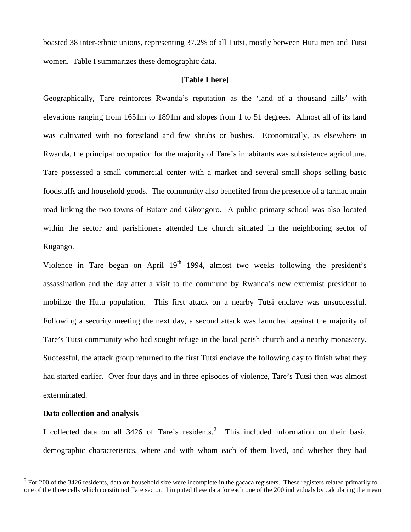boasted 38 inter-ethnic unions, representing 37.2% of all Tutsi, mostly between Hutu men and Tutsi women. Table I summarizes these demographic data.

#### **[Table I here]**

Geographically, Tare reinforces Rwanda's reputation as the 'land of a thousand hills' with elevations ranging from 1651m to 1891m and slopes from 1 to 51 degrees. Almost all of its land was cultivated with no forestland and few shrubs or bushes. Economically, as elsewhere in Rwanda, the principal occupation for the majority of Tare's inhabitants was subsistence agriculture. Tare possessed a small commercial center with a market and several small shops selling basic foodstuffs and household goods. The community also benefited from the presence of a tarmac main road linking the two towns of Butare and Gikongoro. A public primary school was also located within the sector and parishioners attended the church situated in the neighboring sector of Rugango.

Violence in Tare began on April  $19<sup>th</sup>$  1994, almost two weeks following the president's assassination and the day after a visit to the commune by Rwanda's new extremist president to mobilize the Hutu population. This first attack on a nearby Tutsi enclave was unsuccessful. Following a security meeting the next day, a second attack was launched against the majority of Tare's Tutsi community who had sought refuge in the local parish church and a nearby monastery. Successful, the attack group returned to the first Tutsi enclave the following day to finish what they had started earlier. Over four days and in three episodes of violence, Tare's Tutsi then was almost exterminated.

#### **Data collection and analysis**

I collected data on all 34[2](#page-12-0)6 of Tare's residents.<sup>2</sup> This included information on their basic demographic characteristics, where and with whom each of them lived, and whether they had

 $2^2$  For 200 of the 3426 residents, data on household size were incomplete in the gacaca registers. These registers related primarily to one of the three cells which constituted Tare sector. I imputed these data for each one of the 200 individuals by calculating the mean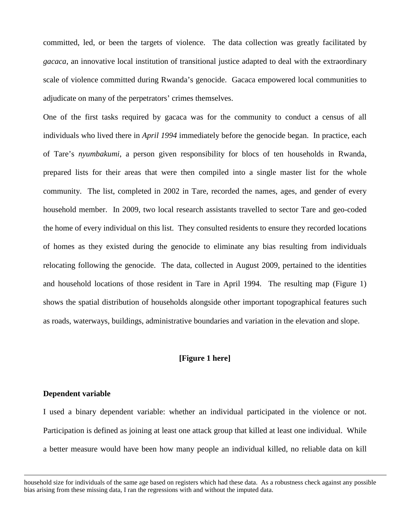committed, led, or been the targets of violence. The data collection was greatly facilitated by *gacaca*, an innovative local institution of transitional justice adapted to deal with the extraordinary scale of violence committed during Rwanda's genocide. Gacaca empowered local communities to adjudicate on many of the perpetrators' crimes themselves.

One of the first tasks required by gacaca was for the community to conduct a census of all individuals who lived there in *April 1994* immediately before the genocide began. In practice, each of Tare's *nyumbakumi*, a person given responsibility for blocs of ten households in Rwanda, prepared lists for their areas that were then compiled into a single master list for the whole community. The list, completed in 2002 in Tare, recorded the names, ages, and gender of every household member. In 2009, two local research assistants travelled to sector Tare and geo-coded the home of every individual on this list. They consulted residents to ensure they recorded locations of homes as they existed during the genocide to eliminate any bias resulting from individuals relocating following the genocide. The data, collected in August 2009, pertained to the identities and household locations of those resident in Tare in April 1994. The resulting map (Figure 1) shows the spatial distribution of households alongside other important topographical features such as roads, waterways, buildings, administrative boundaries and variation in the elevation and slope.

#### **[Figure 1 here]**

#### **Dependent variable**

 $\overline{a}$ 

I used a binary dependent variable: whether an individual participated in the violence or not. Participation is defined as joining at least one attack group that killed at least one individual. While a better measure would have been how many people an individual killed, no reliable data on kill

household size for individuals of the same age based on registers which had these data. As a robustness check against any possible bias arising from these missing data, I ran the regressions with and without the imputed data.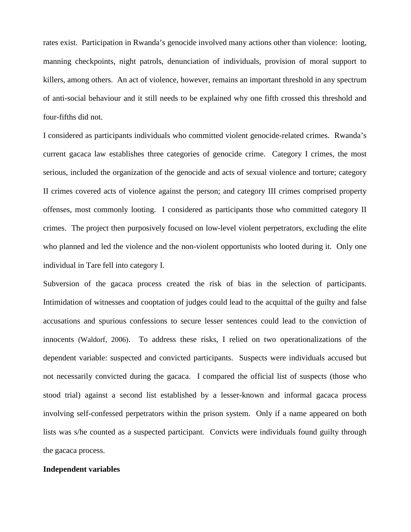rates exist. Participation in Rwanda's genocide involved many actions other than violence: looting, manning checkpoints, night patrols, denunciation of individuals, provision of moral support to killers, among others. An act of violence, however, remains an important threshold in any spectrum of anti-social behaviour and it still needs to be explained why one fifth crossed this threshold and four-fifths did not.

I considered as participants individuals who committed violent genocide-related crimes. Rwanda's current gacaca law establishes three categories of genocide crime. Category I crimes, the most serious, included the organization of the genocide and acts of sexual violence and torture; category II crimes covered acts of violence against the person; and category III crimes comprised property offenses, most commonly looting. I considered as participants those who committed category II crimes. The project then purposively focused on low-level violent perpetrators, excluding the elite who planned and led the violence and the non-violent opportunists who looted during it. Only one individual in Tare fell into category I.

Subversion of the gacaca process created the risk of bias in the selection of participants. Intimidation of witnesses and cooptation of judges could lead to the acquittal of the guilty and false accusations and spurious confessions to secure lesser sentences could lead to the conviction of innocents (Waldorf, 2006). To address these risks, I relied on two operationalizations of the dependent variable: suspected and convicted participants. Suspects were individuals accused but not necessarily convicted during the gacaca. I compared the official list of suspects (those who stood trial) against a second list established by a lesser-known and informal gacaca process involving self-confessed perpetrators within the prison system. Only if a name appeared on both lists was s/he counted as a suspected participant. Convicts were individuals found guilty through the gacaca process.

#### **Independent variables**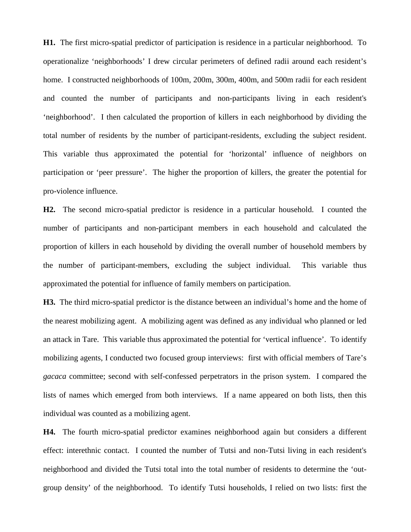**H1.** The first micro-spatial predictor of participation is residence in a particular neighborhood. To operationalize 'neighborhoods' I drew circular perimeters of defined radii around each resident's home. I constructed neighborhoods of 100m, 200m, 300m, 400m, and 500m radii for each resident and counted the number of participants and non-participants living in each resident's 'neighborhood'. I then calculated the proportion of killers in each neighborhood by dividing the total number of residents by the number of participant-residents, excluding the subject resident. This variable thus approximated the potential for 'horizontal' influence of neighbors on participation or 'peer pressure'. The higher the proportion of killers, the greater the potential for pro-violence influence.

**H2.** The second micro-spatial predictor is residence in a particular household. I counted the number of participants and non-participant members in each household and calculated the proportion of killers in each household by dividing the overall number of household members by the number of participant-members, excluding the subject individual. This variable thus approximated the potential for influence of family members on participation.

**H3.** The third micro-spatial predictor is the distance between an individual's home and the home of the nearest mobilizing agent. A mobilizing agent was defined as any individual who planned or led an attack in Tare. This variable thus approximated the potential for 'vertical influence'. To identify mobilizing agents, I conducted two focused group interviews: first with official members of Tare's *gacaca* committee; second with self-confessed perpetrators in the prison system. I compared the lists of names which emerged from both interviews. If a name appeared on both lists, then this individual was counted as a mobilizing agent.

**H4.** The fourth micro-spatial predictor examines neighborhood again but considers a different effect: interethnic contact. I counted the number of Tutsi and non-Tutsi living in each resident's neighborhood and divided the Tutsi total into the total number of residents to determine the 'outgroup density' of the neighborhood. To identify Tutsi households, I relied on two lists: first the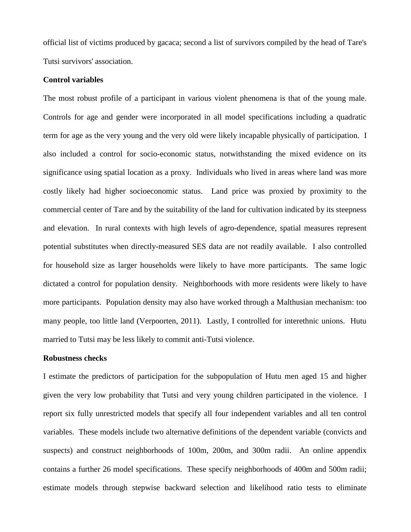official list of victims produced by gacaca; second a list of survivors compiled by the head of Tare's Tutsi survivors' association.

#### **Control variables**

The most robust profile of a participant in various violent phenomena is that of the young male. Controls for age and gender were incorporated in all model specifications including a quadratic term for age as the very young and the very old were likely incapable physically of participation. I also included a control for socio-economic status, notwithstanding the mixed evidence on its significance using spatial location as a proxy. Individuals who lived in areas where land was more costly likely had higher socioeconomic status. Land price was proxied by proximity to the commercial center of Tare and by the suitability of the land for cultivation indicated by its steepness and elevation. In rural contexts with high levels of agro-dependence, spatial measures represent potential substitutes when directly-measured SES data are not readily available. I also controlled for household size as larger households were likely to have more participants. The same logic dictated a control for population density. Neighborhoods with more residents were likely to have more participants. Population density may also have worked through a Malthusian mechanism: too many people, too little land (Verpoorten, 2011). Lastly, I controlled for interethnic unions. Hutu married to Tutsi may be less likely to commit anti-Tutsi violence.

#### **Robustness checks**

I estimate the predictors of participation for the subpopulation of Hutu men aged 15 and higher given the very low probability that Tutsi and very young children participated in the violence. I report six fully unrestricted models that specify all four independent variables and all ten control variables. These models include two alternative definitions of the dependent variable (convicts and suspects) and construct neighborhoods of 100m, 200m, and 300m radii. An online appendix contains a further 26 model specifications. These specify neighborhoods of 400m and 500m radii; estimate models through stepwise backward selection and likelihood ratio tests to eliminate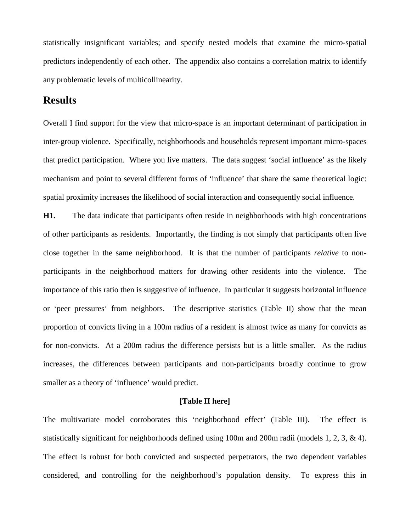statistically insignificant variables; and specify nested models that examine the micro-spatial predictors independently of each other. The appendix also contains a correlation matrix to identify any problematic levels of multicollinearity.

# **Results**

Overall I find support for the view that micro-space is an important determinant of participation in inter-group violence. Specifically, neighborhoods and households represent important micro-spaces that predict participation. Where you live matters. The data suggest 'social influence' as the likely mechanism and point to several different forms of 'influence' that share the same theoretical logic: spatial proximity increases the likelihood of social interaction and consequently social influence.

**H1.** The data indicate that participants often reside in neighborhoods with high concentrations of other participants as residents. Importantly, the finding is not simply that participants often live close together in the same neighborhood. It is that the number of participants *relative* to nonparticipants in the neighborhood matters for drawing other residents into the violence. The importance of this ratio then is suggestive of influence. In particular it suggests horizontal influence or 'peer pressures' from neighbors. The descriptive statistics (Table II) show that the mean proportion of convicts living in a 100m radius of a resident is almost twice as many for convicts as for non-convicts. At a 200m radius the difference persists but is a little smaller. As the radius increases, the differences between participants and non-participants broadly continue to grow smaller as a theory of 'influence' would predict.

#### **[Table II here]**

The multivariate model corroborates this 'neighborhood effect' (Table III). The effect is statistically significant for neighborhoods defined using 100m and 200m radii (models 1, 2, 3, & 4). The effect is robust for both convicted and suspected perpetrators, the two dependent variables considered, and controlling for the neighborhood's population density. To express this in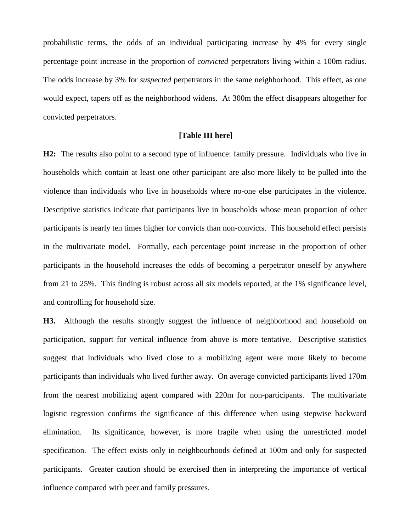probabilistic terms, the odds of an individual participating increase by 4% for every single percentage point increase in the proportion of *convicted* perpetrators living within a 100m radius. The odds increase by 3% for *suspected* perpetrators in the same neighborhood. This effect, as one would expect, tapers off as the neighborhood widens. At 300m the effect disappears altogether for convicted perpetrators.

#### **[Table III here]**

**H2:** The results also point to a second type of influence: family pressure. Individuals who live in households which contain at least one other participant are also more likely to be pulled into the violence than individuals who live in households where no-one else participates in the violence. Descriptive statistics indicate that participants live in households whose mean proportion of other participants is nearly ten times higher for convicts than non-convicts. This household effect persists in the multivariate model. Formally, each percentage point increase in the proportion of other participants in the household increases the odds of becoming a perpetrator oneself by anywhere from 21 to 25%. This finding is robust across all six models reported, at the 1% significance level, and controlling for household size.

**H3.** Although the results strongly suggest the influence of neighborhood and household on participation, support for vertical influence from above is more tentative. Descriptive statistics suggest that individuals who lived close to a mobilizing agent were more likely to become participants than individuals who lived further away. On average convicted participants lived 170m from the nearest mobilizing agent compared with 220m for non-participants. The multivariate logistic regression confirms the significance of this difference when using stepwise backward elimination. Its significance, however, is more fragile when using the unrestricted model specification. The effect exists only in neighbourhoods defined at 100m and only for suspected participants. Greater caution should be exercised then in interpreting the importance of vertical influence compared with peer and family pressures.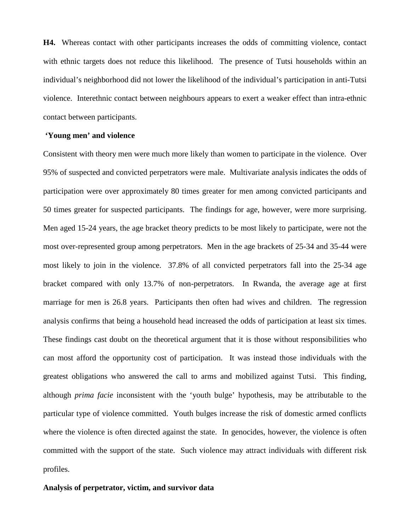**H4.** Whereas contact with other participants increases the odds of committing violence, contact with ethnic targets does not reduce this likelihood. The presence of Tutsi households within an individual's neighborhood did not lower the likelihood of the individual's participation in anti-Tutsi violence. Interethnic contact between neighbours appears to exert a weaker effect than intra-ethnic contact between participants.

#### **'Young men' and violence**

Consistent with theory men were much more likely than women to participate in the violence. Over 95% of suspected and convicted perpetrators were male. Multivariate analysis indicates the odds of participation were over approximately 80 times greater for men among convicted participants and 50 times greater for suspected participants. The findings for age, however, were more surprising. Men aged 15-24 years, the age bracket theory predicts to be most likely to participate, were not the most over-represented group among perpetrators. Men in the age brackets of 25-34 and 35-44 were most likely to join in the violence. 37.8% of all convicted perpetrators fall into the 25-34 age bracket compared with only 13.7% of non-perpetrators. In Rwanda, the average age at first marriage for men is 26.8 years. Participants then often had wives and children. The regression analysis confirms that being a household head increased the odds of participation at least six times. These findings cast doubt on the theoretical argument that it is those without responsibilities who can most afford the opportunity cost of participation. It was instead those individuals with the greatest obligations who answered the call to arms and mobilized against Tutsi. This finding, although *prima facie* inconsistent with the 'youth bulge' hypothesis, may be attributable to the particular type of violence committed. Youth bulges increase the risk of domestic armed conflicts where the violence is often directed against the state. In genocides, however, the violence is often committed with the support of the state. Such violence may attract individuals with different risk profiles.

#### **Analysis of perpetrator, victim, and survivor data**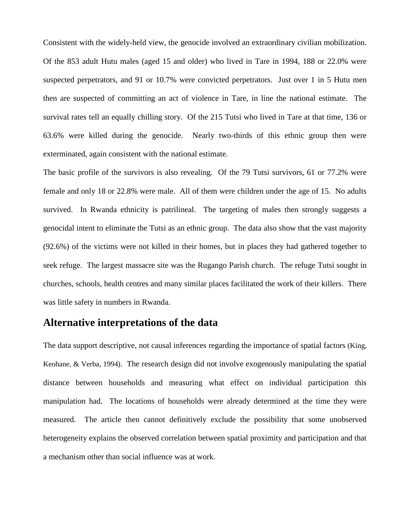Consistent with the widely-held view, the genocide involved an extraordinary civilian mobilization. Of the 853 adult Hutu males (aged 15 and older) who lived in Tare in 1994, 188 or 22.0% were suspected perpetrators, and 91 or 10.7% were convicted perpetrators. Just over 1 in 5 Hutu men then are suspected of committing an act of violence in Tare, in line the national estimate. The survival rates tell an equally chilling story. Of the 215 Tutsi who lived in Tare at that time, 136 or 63.6% were killed during the genocide. Nearly two-thirds of this ethnic group then were exterminated, again consistent with the national estimate.

The basic profile of the survivors is also revealing. Of the 79 Tutsi survivors, 61 or 77.2% were female and only 18 or 22.8% were male. All of them were children under the age of 15. No adults survived. In Rwanda ethnicity is patrilineal. The targeting of males then strongly suggests a genocidal intent to eliminate the Tutsi as an ethnic group. The data also show that the vast majority (92.6%) of the victims were not killed in their homes, but in places they had gathered together to seek refuge. The largest massacre site was the Rugango Parish church. The refuge Tutsi sought in churches, schools, health centres and many similar places facilitated the work of their killers. There was little safety in numbers in Rwanda.

## **Alternative interpretations of the data**

The data support descriptive, not causal inferences regarding the importance of spatial factors (King, Keohane, & Verba, 1994). The research design did not involve exogenously manipulating the spatial distance between households and measuring what effect on individual participation this manipulation had. The locations of households were already determined at the time they were measured. The article then cannot definitively exclude the possibility that some unobserved heterogeneity explains the observed correlation between spatial proximity and participation and that a mechanism other than social influence was at work.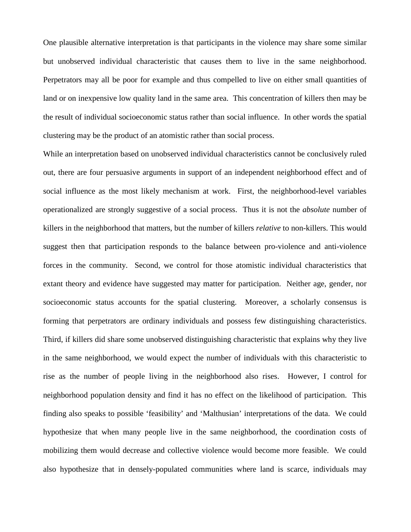One plausible alternative interpretation is that participants in the violence may share some similar but unobserved individual characteristic that causes them to live in the same neighborhood. Perpetrators may all be poor for example and thus compelled to live on either small quantities of land or on inexpensive low quality land in the same area. This concentration of killers then may be the result of individual socioeconomic status rather than social influence. In other words the spatial clustering may be the product of an atomistic rather than social process.

While an interpretation based on unobserved individual characteristics cannot be conclusively ruled out, there are four persuasive arguments in support of an independent neighborhood effect and of social influence as the most likely mechanism at work. First, the neighborhood-level variables operationalized are strongly suggestive of a social process. Thus it is not the *absolute* number of killers in the neighborhood that matters, but the number of killers *relative* to non-killers. This would suggest then that participation responds to the balance between pro-violence and anti-violence forces in the community. Second, we control for those atomistic individual characteristics that extant theory and evidence have suggested may matter for participation. Neither age, gender, nor socioeconomic status accounts for the spatial clustering. Moreover, a scholarly consensus is forming that perpetrators are ordinary individuals and possess few distinguishing characteristics. Third, if killers did share some unobserved distinguishing characteristic that explains why they live in the same neighborhood, we would expect the number of individuals with this characteristic to rise as the number of people living in the neighborhood also rises. However, I control for neighborhood population density and find it has no effect on the likelihood of participation. This finding also speaks to possible 'feasibility' and 'Malthusian' interpretations of the data. We could hypothesize that when many people live in the same neighborhood, the coordination costs of mobilizing them would decrease and collective violence would become more feasible. We could also hypothesize that in densely-populated communities where land is scarce, individuals may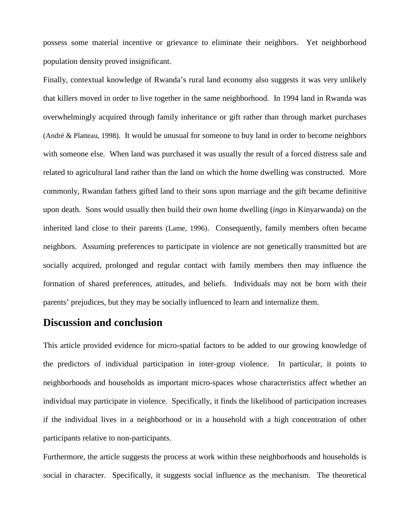possess some material incentive or grievance to eliminate their neighbors. Yet neighborhood population density proved insignificant.

Finally, contextual knowledge of Rwanda's rural land economy also suggests it was very unlikely that killers moved in order to live together in the same neighborhood. In 1994 land in Rwanda was overwhelmingly acquired through family inheritance or gift rather than through market purchases (André & Platteau, 1998). It would be unusual for someone to buy land in order to become neighbors with someone else. When land was purchased it was usually the result of a forced distress sale and related to agricultural land rather than the land on which the home dwelling was constructed. More commonly, Rwandan fathers gifted land to their sons upon marriage and the gift became definitive upon death. Sons would usually then build their own home dwelling (*ingo* in Kinyarwanda) on the inherited land close to their parents (Lame, 1996). Consequently, family members often became neighbors. Assuming preferences to participate in violence are not genetically transmitted but are socially acquired, prolonged and regular contact with family members then may influence the formation of shared preferences, attitudes, and beliefs. Individuals may not be born with their parents' prejudices, but they may be socially influenced to learn and internalize them.

## **Discussion and conclusion**

This article provided evidence for micro-spatial factors to be added to our growing knowledge of the predictors of individual participation in inter-group violence. In particular, it points to neighborhoods and households as important micro-spaces whose characteristics affect whether an individual may participate in violence. Specifically, it finds the likelihood of participation increases if the individual lives in a neighborhood or in a household with a high concentration of other participants relative to non-participants.

Furthermore, the article suggests the process at work within these neighborhoods and households is social in character. Specifically, it suggests social influence as the mechanism. The theoretical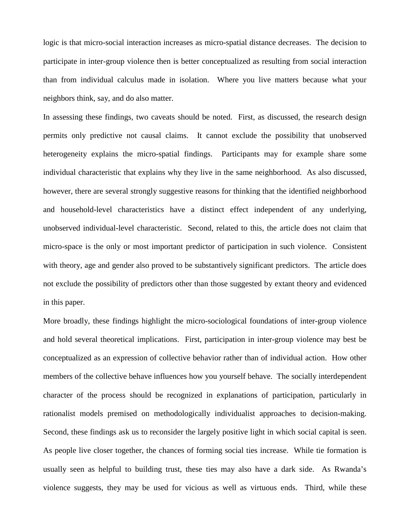logic is that micro-social interaction increases as micro-spatial distance decreases. The decision to participate in inter-group violence then is better conceptualized as resulting from social interaction than from individual calculus made in isolation. Where you live matters because what your neighbors think, say, and do also matter.

In assessing these findings, two caveats should be noted. First, as discussed, the research design permits only predictive not causal claims. It cannot exclude the possibility that unobserved heterogeneity explains the micro-spatial findings. Participants may for example share some individual characteristic that explains why they live in the same neighborhood. As also discussed, however, there are several strongly suggestive reasons for thinking that the identified neighborhood and household-level characteristics have a distinct effect independent of any underlying, unobserved individual-level characteristic. Second, related to this, the article does not claim that micro-space is the only or most important predictor of participation in such violence. Consistent with theory, age and gender also proved to be substantively significant predictors. The article does not exclude the possibility of predictors other than those suggested by extant theory and evidenced in this paper.

More broadly, these findings highlight the micro-sociological foundations of inter-group violence and hold several theoretical implications. First, participation in inter-group violence may best be conceptualized as an expression of collective behavior rather than of individual action. How other members of the collective behave influences how you yourself behave. The socially interdependent character of the process should be recognized in explanations of participation, particularly in rationalist models premised on methodologically individualist approaches to decision-making. Second, these findings ask us to reconsider the largely positive light in which social capital is seen. As people live closer together, the chances of forming social ties increase. While tie formation is usually seen as helpful to building trust, these ties may also have a dark side. As Rwanda's violence suggests, they may be used for vicious as well as virtuous ends. Third, while these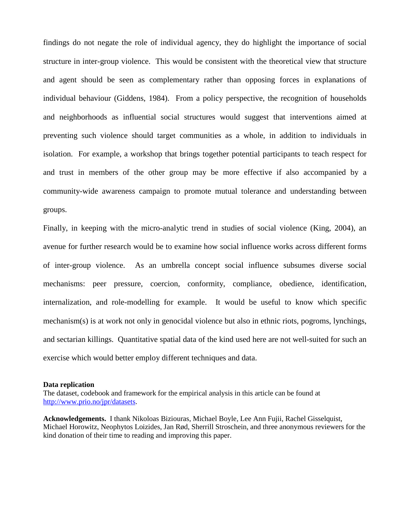findings do not negate the role of individual agency, they do highlight the importance of social structure in inter-group violence. This would be consistent with the theoretical view that structure and agent should be seen as complementary rather than opposing forces in explanations of individual behaviour (Giddens, 1984). From a policy perspective, the recognition of households and neighborhoods as influential social structures would suggest that interventions aimed at preventing such violence should target communities as a whole, in addition to individuals in isolation. For example, a workshop that brings together potential participants to teach respect for and trust in members of the other group may be more effective if also accompanied by a community-wide awareness campaign to promote mutual tolerance and understanding between groups.

Finally, in keeping with the micro-analytic trend in studies of social violence (King, 2004), an avenue for further research would be to examine how social influence works across different forms of inter-group violence. As an umbrella concept social influence subsumes diverse social mechanisms: peer pressure, coercion, conformity, compliance, obedience, identification, internalization, and role-modelling for example. It would be useful to know which specific mechanism(s) is at work not only in genocidal violence but also in ethnic riots, pogroms, lynchings, and sectarian killings. Quantitative spatial data of the kind used here are not well-suited for such an exercise which would better employ different techniques and data.

#### **Data replication**

The dataset, codebook and framework for the empirical analysis in this article can be found at [http://www.prio.no/jpr/datasets.](http://www.prio.no/jpr/datasets)

**Acknowledgements.** I thank Nikoloas Biziouras, Michael Boyle, Lee Ann Fujii, Rachel Gisselquist, Michael Horowitz, Neophytos Loizides, Jan Rød, Sherrill Stroschein, and three anonymous reviewers for the kind donation of their time to reading and improving this paper.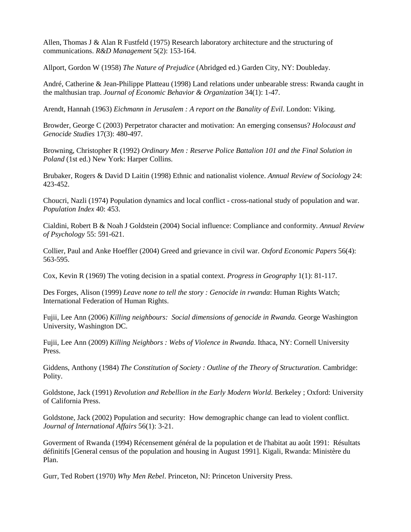<span id="page-26-0"></span>Allen, Thomas J & Alan R Fustfeld (1975) Research laboratory architecture and the structuring of communications. *R&D Management* 5(2): 153-164.

<span id="page-26-1"></span>Allport, Gordon W (1958) *The Nature of Prejudice* (Abridged ed.) Garden City, NY: Doubleday.

André, Catherine & Jean-Philippe Platteau (1998) Land relations under unbearable stress: Rwanda caught in the malthusian trap. *Journal of Economic Behavior & Organization* 34(1): 1-47.

Arendt, Hannah (1963) *Eichmann in Jerusalem : A report on the Banality of Evil*. London: Viking.

Browder, George C (2003) Perpetrator character and motivation: An emerging consensus? *Holocaust and Genocide Studies* 17(3): 480-497.

Browning, Christopher R (1992) *Ordinary Men : Reserve Police Battalion 101 and the Final Solution in Poland* (1st ed.) New York: Harper Collins.

Brubaker, Rogers & David D Laitin (1998) Ethnic and nationalist violence. *Annual Review of Sociology* 24: 423-452.

Choucri, Nazli (1974) Population dynamics and local conflict - cross-national study of population and war. *Population Index* 40: 453.

Cialdini, Robert B & Noah J Goldstein (2004) Social influence: Compliance and conformity. *Annual Review of Psychology* 55: 591-621.

Collier, Paul and Anke Hoeffler (2004) Greed and grievance in civil war. *Oxford Economic Papers* 56(4): 563-595.

Cox, Kevin R (1969) The voting decision in a spatial context. *Progress in Geography* 1(1): 81-117.

Des Forges, Alison (1999) *Leave none to tell the story : Genocide in rwanda*: Human Rights Watch; International Federation of Human Rights.

Fujii, Lee Ann (2006) *Killing neighbours: Social dimensions of genocide in Rwanda.* George Washington University, Washington DC.

Fujii, Lee Ann (2009) *Killing Neighbors : Webs of Violence in Rwanda*. Ithaca, NY: Cornell University Press.

Giddens, Anthony (1984) *The Constitution of Society : Outline of the Theory of Structuration*. Cambridge: Polity.

Goldstone, Jack (1991) *Revolution and Rebellion in the Early Modern World*. Berkeley ; Oxford: University of California Press.

Goldstone, Jack (2002) Population and security: How demographic change can lead to violent conflict. *Journal of International Affairs* 56(1): 3-21.

Goverment of Rwanda (1994) Récensement général de la population et de l'habitat au août 1991: Résultats définitifs [General census of the population and housing in August 1991]. Kigali, Rwanda: Ministère du Plan.

Gurr, Ted Robert (1970) *Why Men Rebel*. Princeton, NJ: Princeton University Press.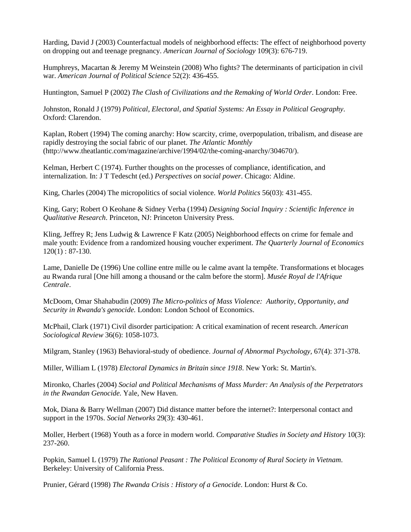Harding, David J (2003) Counterfactual models of neighborhood effects: The effect of neighborhood poverty on dropping out and teenage pregnancy. *American Journal of Sociology* 109(3): 676-719.

Humphreys, Macartan & Jeremy M Weinstein (2008) Who fights? The determinants of participation in civil war. *American Journal of Political Science* 52(2): 436-455.

Huntington, Samuel P (2002) *The Clash of Civilizations and the Remaking of World Order*. London: Free.

Johnston, Ronald J (1979) *Political, Electoral, and Spatial Systems: An Essay in Political Geography*. Oxford: Clarendon.

Kaplan, Robert (1994) The coming anarchy: How scarcity, crime, overpopulation, tribalism, and disease are rapidly destroying the social fabric of our planet. *The Atlantic Monthly* (http://www.theatlantic.com/magazine/archive/1994/02/the-coming-anarchy/304670/).

Kelman, Herbert C (1974). Further thoughts on the processes of compliance, identification, and internalization. In: J T Tedescht (ed.) *Perspectives on social power*. Chicago: Aldine.

King, Charles (2004) The micropolitics of social violence. *World Politics* 56(03): 431-455.

King, Gary; Robert O Keohane & Sidney Verba (1994) *Designing Social Inquiry : Scientific Inference in Qualitative Research*. Princeton, NJ: Princeton University Press.

Kling, Jeffrey R; Jens Ludwig & Lawrence F Katz (2005) Neighborhood effects on crime for female and male youth: Evidence from a randomized housing voucher experiment. *The Quarterly Journal of Economics*  120(1) : 87-130.

Lame, Danielle De (1996) Une colline entre mille ou le calme avant la tempête. Transformations et blocages au Rwanda rural [One hill among a thousand or the calm before the storm]. *Musée Royal de l'Afrique Centrale*.

McDoom, Omar Shahabudin (2009) *The Micro-politics of Mass Violence: Authority, Opportunity, and Security in Rwanda's genocide.* London: London School of Economics.

McPhail, Clark (1971) Civil disorder participation: A critical examination of recent research. *American Sociological Review* 36(6): 1058-1073.

Milgram, Stanley (1963) Behavioral-study of obedience. *Journal of Abnormal Psychology,* 67(4): 371-378.

Miller, William L (1978) *Electoral Dynamics in Britain since 1918*. New York: St. Martin's.

Mironko, Charles (2004) *Social and Political Mechanisms of Mass Murder: An Analysis of the Perpetrators in the Rwandan Genocide.* Yale, New Haven.

Mok, Diana & Barry Wellman (2007) Did distance matter before the internet?: Interpersonal contact and support in the 1970s. *Social Networks* 29(3): 430-461.

Moller, Herbert (1968) Youth as a force in modern world. *Comparative Studies in Society and History* 10(3): 237-260.

Popkin, Samuel L (1979) *The Rational Peasant : The Political Economy of Rural Society in Vietnam*. Berkeley: University of California Press.

Prunier, Gérard (1998) *The Rwanda Crisis : History of a Genocide*. London: Hurst & Co.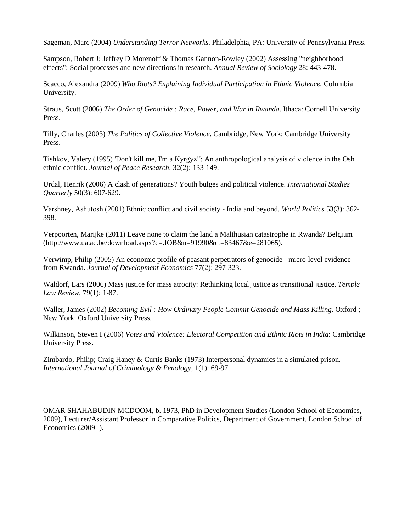Sageman, Marc (2004) *Understanding Terror Networks*. Philadelphia, PA: University of Pennsylvania Press.

Sampson, Robert J; Jeffrey D Morenoff & Thomas Gannon-Rowley (2002) Assessing "neighborhood effects": Social processes and new directions in research. *Annual Review of Sociology* 28: 443-478.

Scacco, Alexandra (2009) *Who Riots? Explaining Individual Participation in Ethnic Violence.* Columbia University.

Straus, Scott (2006) *The Order of Genocide : Race, Power, and War in Rwanda*. Ithaca: Cornell University Press.

Tilly, Charles (2003) *The Politics of Collective Violence*. Cambridge, New York: Cambridge University Press.

Tishkov, Valery (1995) 'Don't kill me, I'm a Kyrgyz!': An anthropological analysis of violence in the Osh ethnic conflict. *Journal of Peace Research,* 32(2): 133-149.

Urdal, Henrik (2006) A clash of generations? Youth bulges and political violence. *International Studies Quarterly* 50(3): 607-629.

Varshney, Ashutosh (2001) Ethnic conflict and civil society - India and beyond. *World Politics* 53(3): 362- 398.

Verpoorten, Marijke (2011) Leave none to claim the land a Malthusian catastrophe in Rwanda? Belgium (http://www.ua.ac.be/download.aspx?c=.IOB&n=91990&ct=83467&e=281065).

Verwimp, Philip (2005) An economic profile of peasant perpetrators of genocide - micro-level evidence from Rwanda. *Journal of Development Economics* 77(2): 297-323.

Waldorf, Lars (2006) Mass justice for mass atrocity: Rethinking local justice as transitional justice. *Temple Law Review,* 79(1): 1-87.

Waller, James (2002) *Becoming Evil : How Ordinary People Commit Genocide and Mass Killing*. Oxford ; New York: Oxford University Press.

Wilkinson, Steven I (2006) *Votes and Violence: Electoral Competition and Ethnic Riots in India*: Cambridge University Press.

Zimbardo, Philip; Craig Haney & Curtis Banks (1973) Interpersonal dynamics in a simulated prison. *International Journal of Criminology & Penology,* 1(1): 69-97.

OMAR SHAHABUDIN MCDOOM, b. 1973, PhD in Development Studies (London School of Economics, 2009), Lecturer/Assistant Professor in Comparative Politics, Department of Government, London School of Economics (2009- ).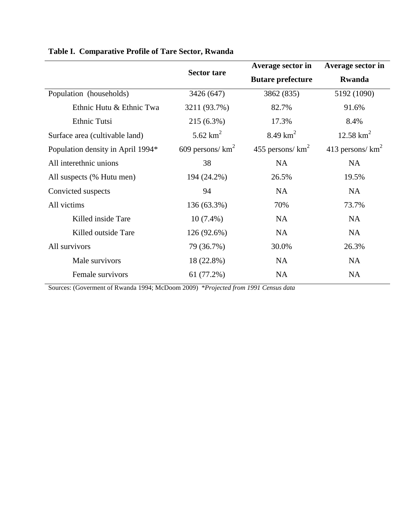|                                   |                     | Average sector in        | Average sector in<br><b>Rwanda</b> |  |
|-----------------------------------|---------------------|--------------------------|------------------------------------|--|
|                                   | <b>Sector tare</b>  | <b>Butare prefecture</b> |                                    |  |
| Population (households)           | 3426 (647)          | 3862 (835)               | 5192 (1090)                        |  |
| Ethnic Hutu & Ethnic Twa          | 3211 (93.7%)        | 82.7%                    | 91.6%                              |  |
| Ethnic Tutsi                      | 215 (6.3%)          | 17.3%                    | 8.4%                               |  |
| Surface area (cultivable land)    | 5.62 $km^2$         | 8.49 $km^2$              | $12.58 \text{ km}^2$               |  |
| Population density in April 1994* | 609 persons/ $km^2$ | 455 persons/ $km^2$      | 413 persons/ $km^2$                |  |
| All interethnic unions            | 38                  | <b>NA</b>                | <b>NA</b>                          |  |
| All suspects (% Hutu men)         | 194 (24.2%)         | 26.5%                    | 19.5%                              |  |
| Convicted suspects                | 94                  | <b>NA</b>                | <b>NA</b>                          |  |
| All victims                       | 136 (63.3%)         | 70%                      | 73.7%                              |  |
| Killed inside Tare                | $10(7.4\%)$         | <b>NA</b>                | <b>NA</b>                          |  |
| Killed outside Tare               | 126 (92.6%)         | <b>NA</b>                | <b>NA</b>                          |  |
| All survivors                     | 79 (36.7%)          | 30.0%                    | 26.3%                              |  |
| Male survivors                    | 18 (22.8%)          | <b>NA</b>                | <b>NA</b>                          |  |
| Female survivors                  | 61 (77.2%)          | <b>NA</b>                | <b>NA</b>                          |  |

## **Table I. Comparative Profile of Tare Sector, Rwanda**

Sources: [\(Goverment of Rwanda 1994;](#page-26-0) [McDoom 2009\)](#page-26-1) \**Projected from 1991 Census data*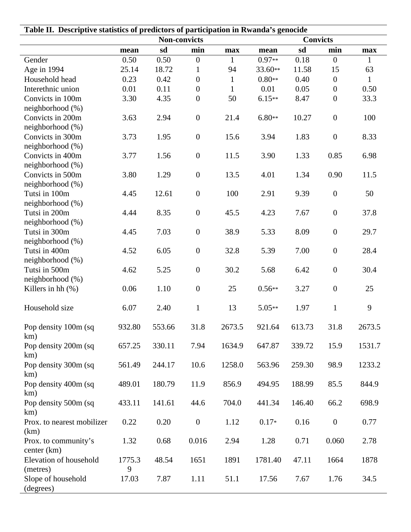| Table II. Descriptive statistics of predictors of participation in Rwanda's genocide |                     |               |                                  |                    |                     |               |                        |                      |  |
|--------------------------------------------------------------------------------------|---------------------|---------------|----------------------------------|--------------------|---------------------|---------------|------------------------|----------------------|--|
|                                                                                      | <b>Non-convicts</b> |               |                                  |                    | <b>Convicts</b>     |               |                        |                      |  |
|                                                                                      | mean                | sd            | min                              | max                | mean                | sd            | min                    | max                  |  |
| Gender                                                                               | 0.50                | 0.50          | $\boldsymbol{0}$                 | $\mathbf{1}$       | $0.97**$<br>33.60** | 0.18          | $\overline{0}$         | 1                    |  |
| Age in 1994<br>Household head                                                        | 25.14<br>0.23       | 18.72<br>0.42 | $\mathbf{1}$<br>$\boldsymbol{0}$ | 94<br>$\mathbf{1}$ | $0.80**$            | 11.58<br>0.40 | 15<br>$\boldsymbol{0}$ | 63                   |  |
| Interethnic union                                                                    | 0.01                | 0.11          | $\boldsymbol{0}$                 | $\mathbf{1}$       | 0.01                | 0.05          | $\boldsymbol{0}$       | $\mathbf{1}$<br>0.50 |  |
| Convicts in 100m                                                                     | 3.30                | 4.35          | $\boldsymbol{0}$                 | 50                 | $6.15**$            | 8.47          | $\boldsymbol{0}$       | 33.3                 |  |
| neighborhood (%)                                                                     |                     |               |                                  |                    |                     |               |                        |                      |  |
| Convicts in 200m                                                                     | 3.63                | 2.94          | $\boldsymbol{0}$                 | 21.4               | $6.80**$            | 10.27         | $\boldsymbol{0}$       | 100                  |  |
| neighborhood (%)                                                                     |                     |               |                                  |                    |                     |               |                        |                      |  |
| Convicts in 300m                                                                     | 3.73                | 1.95          | $\boldsymbol{0}$                 | 15.6               | 3.94                | 1.83          | $\boldsymbol{0}$       | 8.33                 |  |
| neighborhood (%)                                                                     |                     |               |                                  |                    |                     |               |                        |                      |  |
| Convicts in 400m                                                                     | 3.77                | 1.56          | $\boldsymbol{0}$                 | 11.5               | 3.90                | 1.33          | 0.85                   | 6.98                 |  |
| neighborhood (%)                                                                     |                     |               |                                  |                    |                     |               |                        |                      |  |
| Convicts in 500m                                                                     | 3.80                | 1.29          | $\boldsymbol{0}$                 | 13.5               | 4.01                | 1.34          | 0.90                   | 11.5                 |  |
| neighborhood (%)                                                                     |                     |               |                                  |                    |                     |               |                        |                      |  |
| Tutsi in 100m                                                                        | 4.45                | 12.61         | $\boldsymbol{0}$                 | 100                | 2.91                | 9.39          | $\boldsymbol{0}$       | 50                   |  |
| neighborhood (%)<br>Tutsi in 200m                                                    | 4.44                | 8.35          | $\boldsymbol{0}$                 | 45.5               | 4.23                | 7.67          | $\boldsymbol{0}$       | 37.8                 |  |
| neighborhood (%)                                                                     |                     |               |                                  |                    |                     |               |                        |                      |  |
| Tutsi in 300m                                                                        | 4.45                | 7.03          | $\boldsymbol{0}$                 | 38.9               | 5.33                | 8.09          | $\boldsymbol{0}$       | 29.7                 |  |
| neighborhood (%)                                                                     |                     |               |                                  |                    |                     |               |                        |                      |  |
| Tutsi in 400m                                                                        | 4.52                | 6.05          | $\boldsymbol{0}$                 | 32.8               | 5.39                | 7.00          | $\boldsymbol{0}$       | 28.4                 |  |
| neighborhood (%)                                                                     |                     |               |                                  |                    |                     |               |                        |                      |  |
| Tutsi in 500m                                                                        | 4.62                | 5.25          | $\boldsymbol{0}$                 | 30.2               | 5.68                | 6.42          | $\boldsymbol{0}$       | 30.4                 |  |
| neighborhood (%)                                                                     |                     |               |                                  |                    |                     |               |                        |                      |  |
| Killers in hh $(\%)$                                                                 | 0.06                | 1.10          | $\boldsymbol{0}$                 | 25                 | $0.56**$            | 3.27          | $\boldsymbol{0}$       | 25                   |  |
| Household size                                                                       | 6.07                | 2.40          | $\mathbf{1}$                     | 13                 | $5.05**$            | 1.97          | $\mathbf{1}$           | 9                    |  |
| Pop density 100m (sq                                                                 | 932.80              | 553.66        | 31.8                             | 2673.5             | 921.64              | 613.73        | 31.8                   | 2673.5               |  |
| km)                                                                                  |                     |               |                                  |                    |                     |               |                        |                      |  |
| Pop density 200m (sq                                                                 | 657.25              | 330.11        | 7.94                             | 1634.9             | 647.87              | 339.72        | 15.9                   | 1531.7               |  |
| km)<br>Pop density 300m (sq                                                          | 561.49              | 244.17        | 10.6                             | 1258.0             | 563.96              | 259.30        | 98.9                   | 1233.2               |  |
| km)                                                                                  |                     |               |                                  |                    |                     |               |                        |                      |  |
| Pop density 400m (sq                                                                 | 489.01              | 180.79        | 11.9                             | 856.9              | 494.95              | 188.99        | 85.5                   | 844.9                |  |
| km)                                                                                  |                     |               |                                  |                    |                     |               |                        |                      |  |
| Pop density 500m (sq<br>km)                                                          | 433.11              | 141.61        | 44.6                             | 704.0              | 441.34              | 146.40        | 66.2                   | 698.9                |  |
| Prox. to nearest mobilizer                                                           | 0.22                | 0.20          | $\boldsymbol{0}$                 | 1.12               | $0.17*$             | 0.16          | $\boldsymbol{0}$       | 0.77                 |  |
| (km)                                                                                 |                     |               |                                  |                    |                     |               |                        |                      |  |
| Prox. to community's                                                                 | 1.32                | 0.68          | 0.016                            | 2.94               | 1.28                | 0.71          | 0.060                  | 2.78                 |  |
| center (km)<br>Elevation of household                                                | 1775.3              | 48.54         | 1651                             | 1891               | 1781.40             | 47.11         | 1664                   | 1878                 |  |
| (metres)                                                                             | 9                   |               |                                  |                    |                     |               |                        |                      |  |
| Slope of household                                                                   | 17.03               | 7.87          | 1.11                             | 51.1               | 17.56               | 7.67          | 1.76                   | 34.5                 |  |
| (degrees)                                                                            |                     |               |                                  |                    |                     |               |                        |                      |  |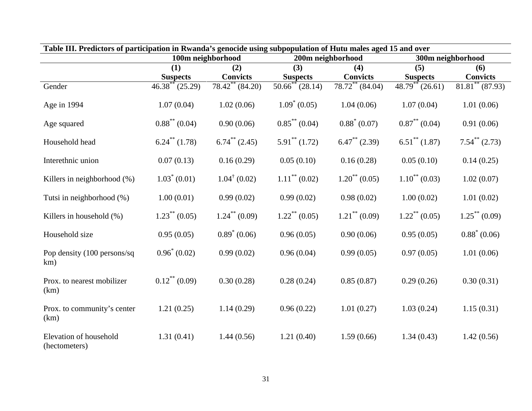| Table III. Predictors of participation in Rwanda's genocide using subpopulation of Hutu males aged 15 and over |                               |                             |                             |                               |                             |                             |  |  |
|----------------------------------------------------------------------------------------------------------------|-------------------------------|-----------------------------|-----------------------------|-------------------------------|-----------------------------|-----------------------------|--|--|
|                                                                                                                | 100m neighborhood             |                             |                             | 200m neighborhood             | 300m neighborhood           |                             |  |  |
|                                                                                                                | (1)<br>(2)                    |                             | (3)<br>(4)                  |                               | (5)                         | (6)                         |  |  |
|                                                                                                                | <b>Suspects</b>               | <b>Convicts</b>             | <b>Suspects</b>             | <b>Convicts</b>               | <b>Suspects</b>             | <b>Convicts</b>             |  |  |
| Gender                                                                                                         | $46.38^{\ast\ast}$ (25.29)    | $78.42^{\ast\ast}$ (84.20)  | $50.66^{\ast\ast}$ (28.14)  | $78.72$ <sup>**</sup> (84.04) | $48.79**$ (26.61)           | $81.81^{\ast\ast}$ (87.93)  |  |  |
| Age in 1994                                                                                                    | 1.07(0.04)                    | 1.02(0.06)                  | $1.09^* (0.05)$             | 1.04(0.06)                    | 1.07(0.04)                  | 1.01(0.06)                  |  |  |
| Age squared                                                                                                    | $0.88^{**}$ (0.04)            | 0.90(0.06)                  | $0.85^{\ast\ast}$ (0.04)    | $0.88^* (0.07)$               | $0.87^{\ast\ast}$ (0.04)    | 0.91(0.06)                  |  |  |
| Household head                                                                                                 | $6.24$ <sup>**</sup> $(1.78)$ | $6.74^{\ast\ast}$ (2.45)    | $5.91^{\ast\ast}$ (1.72)    | $6.47^{\ast\ast}$ (2.39)      | $6.51^{\ast\ast}$ (1.87)    | $7.54^{\ast\ast}$ (2.73)    |  |  |
| Interethnic union                                                                                              | 0.07(0.13)                    | 0.16(0.29)                  | 0.05(0.10)                  | 0.16(0.28)                    | 0.05(0.10)                  | 0.14(0.25)                  |  |  |
| Killers in neighborhood (%)                                                                                    | $1.03^* (0.01)$               | $1.04^{\dagger}$ (0.02)     | $1.11$ <sup>**</sup> (0.02) | $1.20^{**}$ (0.05)            | $1.10^{**}$ (0.03)          | 1.02(0.07)                  |  |  |
| Tutsi in neighborhood (%)                                                                                      | 1.00(0.01)                    | 0.99(0.02)                  | 0.99(0.02)                  | 0.98(0.02)                    | 1.00(0.02)                  | 1.01(0.02)                  |  |  |
| Killers in household (%)                                                                                       | $1.23$ <sup>**</sup> (0.05)   | $1.24$ <sup>**</sup> (0.09) | $1.22$ <sup>**</sup> (0.05) | $1.21$ <sup>**</sup> (0.09)   | $1.22$ <sup>**</sup> (0.05) | $1.25$ <sup>**</sup> (0.09) |  |  |
| Household size                                                                                                 | 0.95(0.05)                    | $0.89^* (0.06)$             | 0.96(0.05)                  | 0.90(0.06)                    | 0.95(0.05)                  | $0.88^* (0.06)$             |  |  |
| Pop density (100 persons/sq<br>km)                                                                             | $0.96^* (0.02)$               | 0.99(0.02)                  | 0.96(0.04)                  | 0.99(0.05)                    | 0.97(0.05)                  | 1.01(0.06)                  |  |  |
| Prox. to nearest mobilizer<br>(km)                                                                             | $0.12$ <sup>**</sup> (0.09)   | 0.30(0.28)                  | 0.28(0.24)                  | 0.85(0.87)                    | 0.29(0.26)                  | 0.30(0.31)                  |  |  |
| Prox. to community's center<br>(km)                                                                            | 1.21(0.25)                    | 1.14(0.29)                  | 0.96(0.22)                  | 1.01(0.27)                    | 1.03(0.24)                  | 1.15(0.31)                  |  |  |
| Elevation of household<br>(hectometers)                                                                        | 1.31(0.41)                    | 1.44(0.56)                  | 1.21(0.40)                  | 1.59(0.66)                    | 1.34(0.43)                  | 1.42(0.56)                  |  |  |